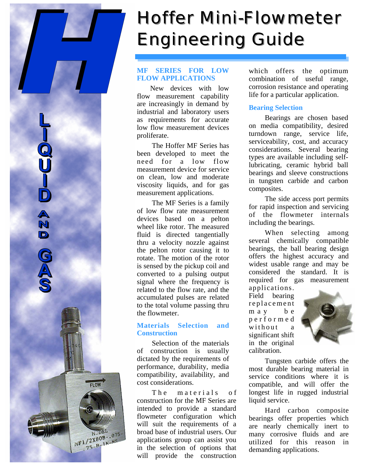# *Hoffer Mini Hoffer Mini-Flowmeter Flowmeter* **Engineering Guide**

# **MF SERIES FOR LOW FLOW APPLICATIONS**

New devices with low flow measurement capability are increasingly in demand by industrial and laboratory users as requirements for accurate low flow measurement devices proliferate.

 The Hoffer MF Series has been developed to meet the need for a low flow measurement device for service on clean, low and moderate viscosity liquids, and for gas measurement applications.

 The MF Series is a family of low flow rate measurement devices based on a pelton wheel like rotor. The measured fluid is directed tangentially thru a velocity nozzle against the pelton rotor causing it to rotate. The motion of the rotor is sensed by the pickup coil and converted to a pulsing output signal where the frequency is related to the flow rate, and the accumulated pulses are related to the total volume passing thru the flowmeter.

N D

**FLOW** 

 $MF1/2X80B-.075$ <br>NF1/2X80B-.075  $1/2X80B$ <br>75-B-18-NS

# **Materials Selection and Construction**

 Selection of the materials of construction is usually dictated by the requirements of performance, durability, media compatibility, availability, and cost considerations.

The materials of construction for the MF Series are intended to provide a standard flowmeter configuration which will suit the requirements of a broad base of industrial users. Our applications group can assist you in the selection of options that will provide the construction

which offers the optimum combination of useful range, corrosion resistance and operating life for a particular application.

# **Bearing Selection**

Bearings are chosen based on media compatibility, desired turndown range, service life, serviceability, cost, and accuracy considerations. Several bearing types are available including selflubricating, ceramic hybrid ball bearings and sleeve constructions in tungsten carbide and carbon composites.

The side access port permits for rapid inspection and servicing of the flowmeter internals including the bearings.

When selecting among several chemically compatible bearings, the ball bearing design offers the highest accuracy and widest usable range and may be considered the standard. It is required for gas measurement applications.

Field bearing replacement m a y b e p e r f o r m e d  $width out$ significant shift in the original calibration.



Tungsten carbide offers the most durable bearing material in service conditions where it is compatible, and will offer the longest life in rugged industrial liquid service.

Hard carbon composite bearings offer properties which are nearly chemically inert to many corrosive fluids and are utilized for this reason in demanding applications.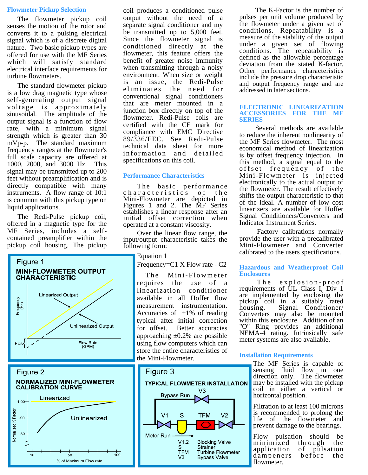#### **Flowmeter Pickup Selection**

The flowmeter pickup coil senses the motion of the rotor and converts it to a pulsing electrical signal which is of a discrete digital nature. Two basic pickup types are offered for use with the MF Series which will satisfy standard electrical interface requirements for turbine flowmeters.

The standard flowmeter pickup is a low drag magnetic type whose self-generating output signal voltage is approximately sinusoidal. The amplitude of the output signal is a function of flow rate, with a minimum signal strength which is greater than 30 mVp-p. The standard maximum frequency ranges at the flowmeter's full scale capacity are offered at 1000, 2000, and 3000 Hz. This signal may be transmitted up to 200 feet without preamplification and is directly compatible with many instruments. A flow range of 10:1 is common with this pickup type on liquid applications.

The Redi-Pulse pickup coil, offered in a magnetic type for the MF Series, includes a selfcontained preamplifier within the pickup coil housing. The pickup





coil produces a conditioned pulse output without the need of a separate signal conditioner and my be transmitted up to 5,000 feet. Since the flowmeter signal is conditioned directly at the flowmeter, this feature offers the benefit of greater noise immunity when transmitting through a noisy environment. When size or weight is an issue, the Redi-Pulse eliminates the need for conventional signal conditioners that are meter mounted in a junction box directly on top of the flowmeter. Redi-Pulse coils are certified with the CE mark for compliance with EMC Directive 89/336/EEC. See Redi-Pulse technical data sheet for more information and detailed specifications on this coil.

#### **Performance Characteristics**

The basic performance characteristics of the Mini-Flowmeter are depicted in Figures 1 and 2. The MF Series establishes a linear response after an initial offset correction when operated at a constant viscosity.

 Over the linear flow range, the input/output characteristic takes the following form:

Equation 1

Frequency=C1 X Flow rate - C2

The  $Mini$ -Flowmeter requires the use of a linearization conditioner available in all Hoffer flow measurement instrumentation. Accuracies of  $\pm 1\%$  of reading typical after initial correction for offset. Better accuracies approaching  $\pm 0.2\%$  are possible using flow computers which can store the entire characteristics of the Mini-Flowmeter.



The K-Factor is the number of pulses per unit volume produced by the flowmeter under a given set of conditions. Repeatability is a measure of the stability of the output under a given set of flowing conditions. The repeatability is defined as the allowable percentage deviation from the stated K-factor. Other performance characteristics include the pressure drop characteristic and output frequency range and are addressed in later sections.

#### **ELECTRONIC LINEARIZATION ACCESSORIES FOR THE MF SERIES**

Several methods are available to reduce the inherent nonlinearity of the MF Series flowmeter. The most economical method of linearization is by offset frequency injection. In this method, a signal equal to the offset frequency of the Mini-Flowmeter is injected electronically to the actual output of the flowmeter. The result effectively shifts the output characteristic to that of the ideal. A number of low cost linearizers are available for Hoffer Signal Conditioners/Converters and Indicator Instrument Series.

 Factory calibrations normally provide the user with a precalibrated Mini-Flowmeter and Converter calibrated to the users specifications.

#### **Hazardous and Weatherproof Coil Enclosures**

The explosion-proof requirements of UL Class I, Div 1 are implemented by enclosing the pickup coil in a suitably rated<br>housing. Signal Conditioner/ Signal Conditioner/ Converters may also be mounted within this enclosure. Addition of an "O" Ring provides an additional NEMA-4 rating. Intrinsically safe meter systems are also available.

#### **Installation Requirements**

The MF Series is capable of sensing fluid flow in one direction only. The flowmeter may be installed with the pickup coil in either a vertical or horizontal position.

Filtration to at least 100 microns is recommended to prolong the life of the flowmeter and prevent damage to the bearings.

Flow pulsation should be minimized through the<br>application of pulsation of pulsation dampeners before the flowmeter.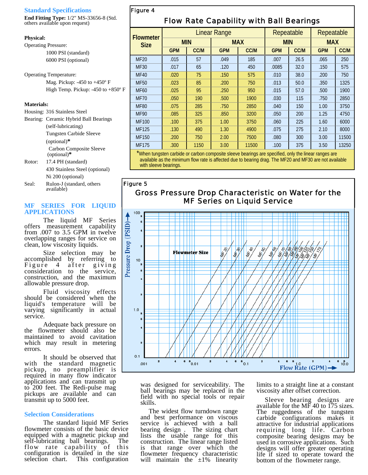#### **Standard Specifications**

**End Fitting Type:** 1/2" MS-33656-8 (Std. others available upon request)

#### **Physical:**

Operating Pressure: 1000 PSI (standard) 6000 PSI (optional)

Operating Temperature:

 Mag. Pickup: -450 to +450º F High Temp. Pickup: -450 to +850º F

#### **Materials:**

|        | Housing: 316 Stainless Steel                    |
|--------|-------------------------------------------------|
|        | Bearing: Ceramic Hybrid Ball Bearings           |
|        | (self-lubricating)                              |
|        | Tungsten Carbide Sleeve                         |
|        | $(optional)*$                                   |
|        | <b>Carbon Composite Sleeve</b><br>$(optional)*$ |
| Rotor: | 17.4 PH (standard)                              |
|        | A30 Stainless Steel (ontional)                  |

 430 Stainless Steel (optional) Ni 200 (optional) Seal: Rulon-J (standard, others

available)

## **MF SERIES FOR LIQUID APPLICATIONS**

The liquid MF Series offers measurement capability from .007 to 3.5 GPM in twelve overlapping ranges for service on clean, low viscosity liquids.

Size selection may be accomplished by referring to Figure 4 after giving Figure 4 after giving<br>consideration to the service, construction, and the maximum allowable pressure drop.

Fluid viscosity effects should be considered when the liquid's temperature will be varying significantly in actual service.

Adequate back pressure on the flowmeter should also be maintained to avoid cavitation which may result in metering errors.

It should be observed that with the standard magnetic pickup, no preamplifier is required in many flow indicator applications and can transmit up to 200 feet. The Redi-pulse mag pickups are available and can transmit up to 5000 feet.

#### **Selection Considerations**

The standard liquid MF Series flowmeter consists of the basic device equipped with a magnetic pickup and self-lubricating ball bearings. The flow rate capability of this configuration is detailed in the size<br>selection chart. This configuration This configuration

# *Figure 4*

*Figure 5* 

# *Flow Rate Capability with Ball Bearings*

|                                                         | Linear Range                      |             |            |             | Repeatable |             | Repeatable |       |
|---------------------------------------------------------|-----------------------------------|-------------|------------|-------------|------------|-------------|------------|-------|
| <b>Flowmeter</b><br><b>Size</b>                         | <b>MIN</b>                        |             | <b>MAX</b> |             | <b>MIN</b> |             | <b>MAX</b> |       |
|                                                         | <b>GPM</b>                        | <b>CC/M</b> | <b>GPM</b> | <b>CC/M</b> | <b>GPM</b> | <b>CC/M</b> | <b>GPM</b> | CC/M  |
| <b>MF20</b>                                             | .015                              | 57          | .049       | 185         | .007       | 26.5        | .065       | 250   |
| <b>MF30</b>                                             | .017                              | 65          | .120       | 450         | .0085      | 32.0        | .150       | 575   |
| <b>MF40</b>                                             | .020                              | 75          | .150       | 575         | .010       | 38.0        | .200       | 750   |
| <b>MF50</b>                                             | .023                              | 85          | .200       | 750         | .013       | 50.0        | .350       | 1325  |
| <b>MF60</b>                                             | .025                              | 95          | .250       | 950         | .015       | 57.0        | .500       | 1900  |
| <b>MF70</b>                                             | .050                              | 190         | .500       | 1900        | .030       | 115         | .750       | 2850  |
| <b>MF80</b>                                             | .075                              | 285         | .750       | 2850        | .040       | 150         | 1.00       | 3750  |
| <b>MF90</b>                                             | .085                              | 325         | .850       | 3200        | .050       | 200         | 1.25       | 4750  |
| <b>MF100</b>                                            | .100                              | 375         | 1.00       | 3750        | .060       | 225         | 1.60       | 6000  |
| <b>MF125</b>                                            | .130                              | 490         | 1.30       | 4900        | .075       | 275         | 2.10       | 8000  |
| <b>MF150</b>                                            | .200                              | 750         | 2.00       | 7500        | .080       | 300         | 3.00       | 11500 |
| <b>MF175</b>                                            | .300                              | 1150        | 3.00       | 11500       | .100       | 375         | 3.50       | 13250 |
| $\mathbf{x}_{\text{new}}$ and $\mathbf{x}_{\text{new}}$ | <b>Contract Contract Contract</b> |             |            |             |            |             |            |       |

When tungsten carbide or carbon composite sleeve bearings are specified, only the linear ranges are available as the minimum flow rate is affected due to bearing drag. The MF20 and MF30 are not available with sleeve bearings.

# *Gross Pressure Drop Characteristic on Water for the MF Series on Liquid Service*



was designed for serviceability. The ball bearings may be replaced in the field with no special tools or repair skills.

 The widest flow turndown range and best performance on viscous service is achieved with a ball bearing design . The sizing chart lists the usable range for this construction. The linear range listed is that range over which the flowmeter frequency characteristic will maintain the  $\pm 1\%$  linearity

limits to a straight line at a constant viscosity after offset correction.

 Sleeve bearing designs are available for the MF 40 to 175 sizes. The ruggedness of the tungsten carbide configurations makes it attractive for industrial applications requiring long life. Carbon composite bearing designs may be used in corrosive applications. Such designs will offer greater operating life if sized to operate toward the bottom of the flowmeter range.